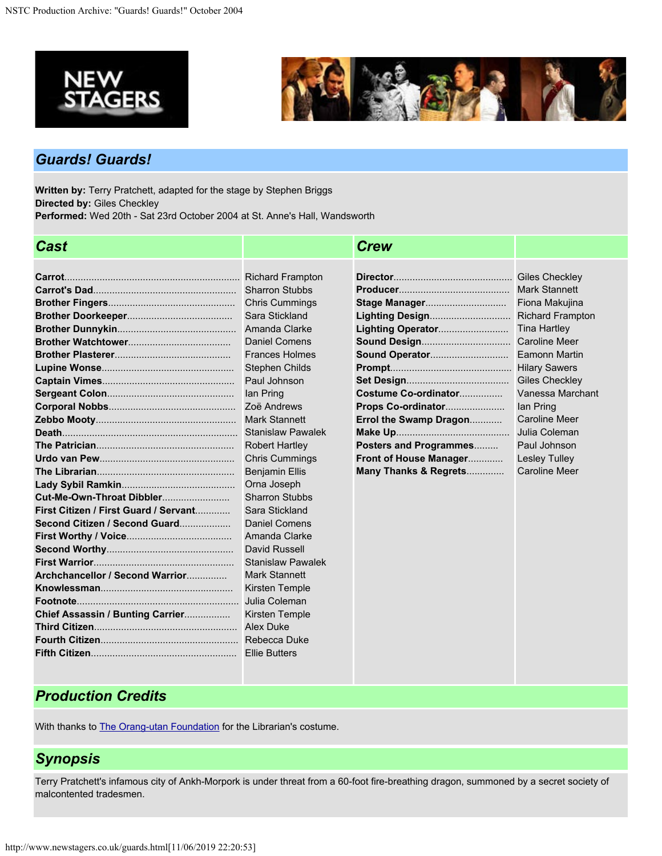



### *Guards! Guards!*

**Written by:** Terry Pratchett, adapted for the stage by Stephen Briggs **Directed by:** Giles Checkley **Performed:** Wed 20th - Sat 23rd October 2004 at St. Anne's Hall, Wandsworth

| <b>Cast</b>                           |                          | <b>Crew</b>            |                         |
|---------------------------------------|--------------------------|------------------------|-------------------------|
|                                       |                          |                        |                         |
|                                       | <b>Richard Frampton</b>  |                        | Giles Checkley          |
|                                       | <b>Sharron Stubbs</b>    |                        | <b>Mark Stannett</b>    |
|                                       | <b>Chris Cummings</b>    |                        | Fiona Makujina          |
|                                       | Sara Stickland           | Lighting Design        | <b>Richard Frampton</b> |
|                                       | Amanda Clarke            | Lighting Operator      | <b>Tina Hartley</b>     |
|                                       | Daniel Comens            | <b>Sound Design</b>    | <b>Caroline Meer</b>    |
|                                       | <b>Frances Holmes</b>    | Sound Operator         | <b>Eamonn Martin</b>    |
|                                       | <b>Stephen Childs</b>    |                        | <b>Hilary Sawers</b>    |
|                                       | Paul Johnson             |                        | <b>Giles Checkley</b>   |
|                                       | lan Pring                | Costume Co-ordinator   | Vanessa Marchant        |
|                                       | Zoë Andrews              | Props Co-ordinator     | lan Pring               |
|                                       | <b>Mark Stannett</b>     | Errol the Swamp Dragon | <b>Caroline Meer</b>    |
|                                       | <b>Stanislaw Pawalek</b> |                        | Julia Coleman           |
|                                       | <b>Robert Hartley</b>    | Posters and Programmes | Paul Johnson            |
|                                       | <b>Chris Cummings</b>    | Front of House Manager | <b>Lesley Tulley</b>    |
|                                       | <b>Benjamin Ellis</b>    | Many Thanks & Regrets  | <b>Caroline Meer</b>    |
|                                       | Orna Joseph              |                        |                         |
| Cut-Me-Own-Throat Dibbler             | <b>Sharron Stubbs</b>    |                        |                         |
| First Citizen / First Guard / Servant | Sara Stickland           |                        |                         |
| Second Citizen / Second Guard         | Daniel Comens            |                        |                         |
|                                       | Amanda Clarke            |                        |                         |
|                                       | David Russell            |                        |                         |
|                                       | <b>Stanislaw Pawalek</b> |                        |                         |
| Archchancellor / Second Warrior       | <b>Mark Stannett</b>     |                        |                         |
|                                       | Kirsten Temple           |                        |                         |
|                                       | Julia Coleman            |                        |                         |
| Chief Assassin / Bunting Carrier      | Kirsten Temple           |                        |                         |
|                                       | Alex Duke                |                        |                         |
|                                       | Rebecca Duke             |                        |                         |
|                                       | <b>Ellie Butters</b>     |                        |                         |

## *Production Credits*

With thanks to **The Orang-utan Foundation** for the Librarian's costume.

# *Synopsis*

Terry Pratchett's infamous city of Ankh-Morpork is under threat from a 60-foot fire-breathing dragon, summoned by a secret society of malcontented tradesmen.